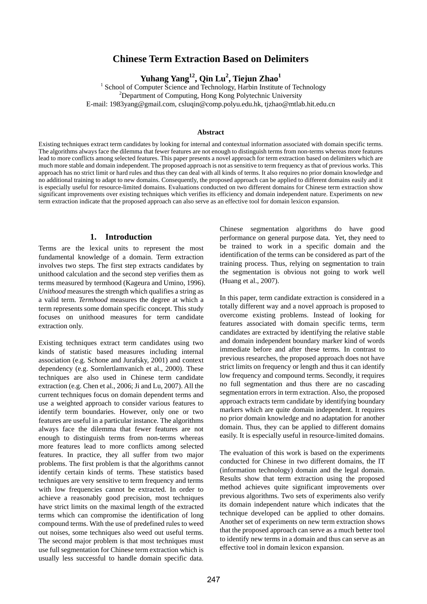# **Chinese Term Extraction Based on Delimiters**

 $\mathbf{Yuhang Yang}^{12}, \mathbf{Qin}\ \mathbf{Lu}^2, \mathbf{Tiejun}\ \mathbf{Zhao}^1$ 

<sup>1</sup> School of Computer Science and Technology, Harbin Institute of Technology  $2D$ epartment of Computing, Hong Kong Polytechnic University E-mail: 1983yang@gmail.com, csluqin@comp.polyu.edu.hk, tjzhao@mtlab.hit.edu.cn

#### **Abstract**

Existing techniques extract term candidates by looking for internal and contextual information associated with domain specific terms. The algorithms always face the dilemma that fewer features are not enough to distinguish terms from non-terms whereas more features lead to more conflicts among selected features. This paper presents a novel approach for term extraction based on delimiters which are much more stable and domain independent. The proposed approach is not as sensitive to term frequency as that of previous works. This approach has no strict limit or hard rules and thus they can deal with all kinds of terms. It also requires no prior domain knowledge and no additional training to adapt to new domains. Consequently, the proposed approach can be applied to different domains easily and it is especially useful for resource-limited domains. Evaluations conducted on two different domains for Chinese term extraction show significant improvements over existing techniques which verifies its efficiency and domain independent nature. Experiments on new term extraction indicate that the proposed approach can also serve as an effective tool for domain lexicon expansion.

#### **1. Introduction**

Terms are the lexical units to represent the most fundamental knowledge of a domain. Term extraction involves two steps. The first step extracts candidates by unithood calculation and the second step verifies them as terms measured by termhood (Kageura and Umino, 1996). *Unithood* measures the strength which qualifies a string as a valid term. *Termhood* measures the degree at which a term represents some domain specific concept. This study focuses on unithood measures for term candidate extraction only.

Existing techniques extract term candidates using two kinds of statistic based measures including internal association (e.g. Schone and Jurafsky, 2001) and context dependency (e.g. Sornlertlamvanich et al., 2000). These techniques are also used in Chinese term candidate extraction (e.g. Chen et al., 2006; Ji and Lu, 2007). All the current techniques focus on domain dependent terms and use a weighted approach to consider various features to identify term boundaries. However, only one or two features are useful in a particular instance. The algorithms always face the dilemma that fewer features are not enough to distinguish terms from non-terms whereas more features lead to more conflicts among selected features. In practice, they all suffer from two major problems. The first problem is that the algorithms cannot identify certain kinds of terms. These statistics based techniques are very sensitive to term frequency and terms with low frequencies cannot be extracted. In order to achieve a reasonably good precision, most techniques have strict limits on the maximal length of the extracted terms which can compromise the identification of long compound terms. With the use of predefined rules to weed out noises, some techniques also weed out useful terms. The second major problem is that most techniques must use full segmentation for Chinese term extraction which is usually less successful to handle domain specific data.

Chinese segmentation algorithms do have good performance on general purpose data. Yet, they need to be trained to work in a specific domain and the identification of the terms can be considered as part of the training process. Thus, relying on segmentation to train the segmentation is obvious not going to work well (Huang et al., 2007).

In this paper, term candidate extraction is considered in a totally different way and a novel approach is proposed to overcome existing problems. Instead of looking for features associated with domain specific terms, term candidates are extracted by identifying the relative stable and domain independent boundary marker kind of words immediate before and after these terms. In contrast to previous researches, the proposed approach does not have strict limits on frequency or length and thus it can identify low frequency and compound terms. Secondly, it requires no full segmentation and thus there are no cascading segmentation errors in term extraction. Also, the proposed approach extracts term candidate by identifying boundary markers which are quite domain independent. It requires no prior domain knowledge and no adaptation for another domain. Thus, they can be applied to different domains easily. It is especially useful in resource-limited domains.

The evaluation of this work is based on the experiments conducted for Chinese in two different domains, the IT (information technology) domain and the legal domain. Results show that term extraction using the proposed method achieves quite significant improvements over previous algorithms. Two sets of experiments also verify its domain independent nature which indicates that the technique developed can be applied to other domains. Another set of experiments on new term extraction shows that the proposed approach can serve as a much better tool to identify new terms in a domain and thus can serve as an effective tool in domain lexicon expansion.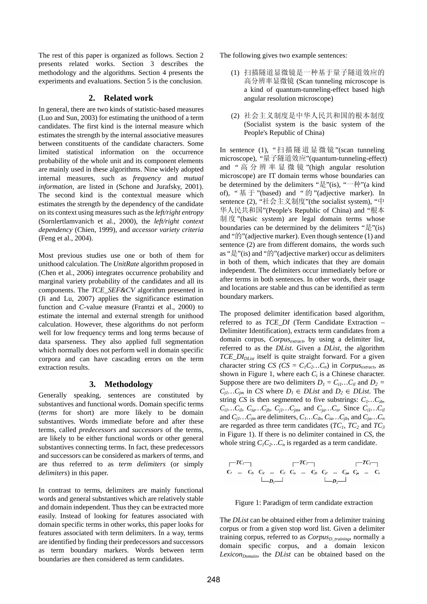The rest of this paper is organized as follows. Section 2 presents related works. Section 3 describes the methodology and the algorithms. Section 4 presents the experiments and evaluations. Section 5 is the conclusion.

## **2. Related work**

In general, there are two kinds of statistic-based measures (Luo and Sun, 2003) for estimating the unithood of a term candidates. The first kind is the internal measure which estimates the strength by the internal associative measures between constituents of the candidate characters. Some limited statistical information on the occurrence probability of the whole unit and its component elements are mainly used in these algorithms. Nine widely adopted internal measures, such as *frequency* and *mutual information*, are listed in (Schone and Jurafsky, 2001). The second kind is the contextual measure which estimates the strength by the dependency of the candidate on its context using measures such as the *left/right entropy* (Sornlertlamvanich et al., 2000), the *left/right context dependency* (Chien, 1999), and *accessor variety criteria* (Feng et al., 2004).

Most previous studies use one or both of them for unithood calculation. The *UnitRate* algorithm proposed in (Chen et al., 2006) integrates occurrence probability and marginal variety probability of the candidates and all its components. The *TCE\_SEF&CV* algorithm presented in (Ji and Lu, 2007) applies the significance estimation function and *C*-value measure (Frantzi et al., 2000) to estimate the internal and external strength for unithood calculation. However, these algorithms do not perform well for low frequency terms and long terms because of data sparseness. They also applied full segmentation which normally does not perform well in domain specific corpora and can have cascading errors on the term extraction results.

#### **3. Methodology**

Generally speaking, sentences are constituted by substantives and functional words. Domain specific terms (*terms* for short) are more likely to be domain substantives. Words immediate before and after these terms, called *predecessors* and *successors* of the terms, are likely to be either functional words or other general substantives connecting terms. In fact, these predecessors and successors can be considered as markers of terms, and are thus referred to as *term delimiters* (or simply *delimiters*) in this paper.

In contrast to terms, delimiters are mainly functional words and general substantives which are relatively stable and domain independent. Thus they can be extracted more easily. Instead of looking for features associated with domain specific terms in other works, this paper looks for features associated with term delimiters. In a way, terms are identified by finding their predecessors and successors as term boundary markers. Words between term boundaries are then considered as term candidates.

The following gives two example sentences:

- (1) 扫描隧道显微镜是一种基于量子隧道效应的 高分辨率显微镜 (Scan tunneling microscope is a kind of quantum-tunneling-effect based high angular resolution microscope)
- (2) 社会主义制度是中华人民共和国的根本制度 (Socialist system is the basic system of the People's Republic of China)

In sentence (1), "扫描隧道显微镜"(scan tunneling microscope), "量子隧道效应"(quantum-tunneling-effect) and " 高分辨率显微镜 "(high angular resolution microscope) are IT domain terms whose boundaries can be determined by the delimiters "是"(is), "一种"(a kind of), "基于"(based) and "的"(adjective marker). In sentence (2), "社会主义制度"(the socialist system), "中 华人民共和国"(People's Republic of China) and "根本 制 度 "(basic system) are legal domain terms whose boundaries can be determined by the delimiters "是"(is) and "的"(adjective marker). Even though sentence (1) and sentence (2) are from different domains, the words such as "是"(is) and "的"(adjective marker) occur as delimiters in both of them, which indicates that they are domain independent. The delimiters occur immediately before or after terms in both sentences. In other words, their usage and locations are stable and thus can be identified as term boundary markers.

The proposed delimiter identification based algorithm, referred to as *TCE\_DI* (Term Candidate Extraction – Delimiter Identification), extracts term candidates from a domain corpus, *Corpusextract*, by using a delimiter list, referred to as the *DList*. Given a *DList*, the algorithm *TCE\_DIDList* itself is quite straight forward. For a given character string *CS* (*CS* =  $C_1C_2...C_n$ ) in *Corpus<sub>extract*</sub>, as shown in Figure 1, where each  $C_i$  is a Chinese character. Suppose there are two delimiters  $D_l = C_{il}...C_{il}$  and  $D_2 =$  $C_{j1}$ *…* $C_{jm}$  in *CS* where *D<sub>1</sub>* ∈ *DList* and *D<sub>2</sub>* ∈ *DList*. The string *CS* is then segmented to five substrings:  $C_1...C_{ib}$ ,  $C_{i1}...C_{i1}$ ,  $C_{ia}...C_{jb}$ ,  $C_{j1}...C_{jm}$ , and  $C_{ja}...C_{n}$ . Since  $C_{i1}...C_{i1}$ and  $C_{j1}...C_{jm}$  are delimiters,  $C_1...C_{ib}$ ,  $C_{ia}...C_{jb}$ , and  $C_{ja}...C_n$ are regarded as three term candidates  $(TC_1, TC_2)$  and  $TC_3$ in Figure 1). If there is no delimiter contained in *CS*, the whole string  $C_1C_2...C_n$  is regarded as a term candidate.

Figure 1: Paradigm of term candidate extraction

The *DList* can be obtained either from a delimiter training corpus or from a given stop word list. Given a delimiter training corpus, referred to as *Corpus<sub>D training*, normally a</sub> domain specific corpus, and a domain lexicon Lexicon<sub>Domain</sub>, the *DList* can be obtained based on the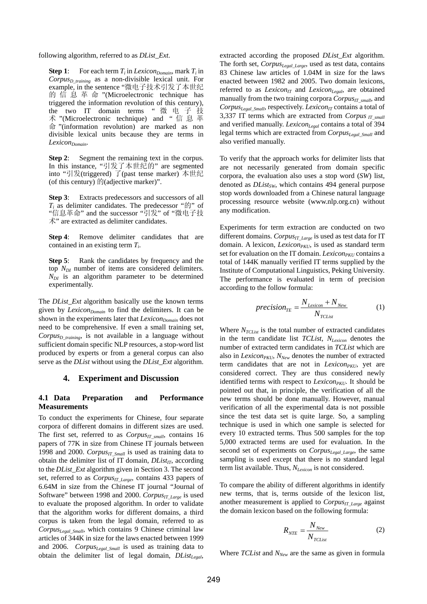following algorithm, referred to as *DList\_Ext*.

**Step 1:** For each term  $T_i$  in *Lexicon*<sub>Domain</sub>, mark  $T_i$  in *CorpusD\_training* as a non-divisible lexical unit. For example, in the sentence "微电子技术引发了本世纪 的信息革命 "(Microelectronic technique has triggered the information revolution of this century), the two IT domain terms " 微电子技 术 "(Microelectronic technique) and " 信息革 命 "(information revolution) are marked as non divisible lexical units because they are terms in Lexicon<sub>Domain</sub>.

**Step 2:** Segment the remaining text in the corpus. In this instance, "引发了本世纪的" are segmented into "引发(triggered) 了(past tense marker) 本世纪 (of this century)  $\mathbb{M}$ (adjective marker)".

**Step 3**: Extracts predecessors and successors of all  $T_i$  as delimiter candidates. The predecessor " $\mathfrak{h}$ " of "信息革命" and the successor "引发" of "微电子技 术" are extracted as delimiter candidates.

**Step 4:** Remove delimiter candidates that are contained in an existing term *Ti*.

**Step 5:** Rank the candidates by frequency and the top *NDI* number of items are considered delimiters.  $N_{DI}$  is an algorithm parameter to be determined experimentally.

The *DList\_Ext* algorithm basically use the known terms given by *Lexicon*<sub>Domain</sub> to find the delimiters. It can be shown in the experiments later that *Lexicon*<sub>Domain</sub> does not need to be comprehensive. If even a small training set, *Corpus<sub>D training*, is not available in a language without</sub> sufficient domain specific NLP resources, a stop-word list produced by experts or from a general corpus can also serve as the *DList* without using the *DList\_Ext* algorithm.

#### **4. Experiment and Discussion**

### **4.1 Data Preparation and Performance Measurements**

To conduct the experiments for Chinese, four separate corpora of different domains in different sizes are used. The first set, referred to as *Corpus<sub>IT small*</sub>, contains 16 papers of 77K in size from Chinese IT journals between 1998 and 2000. *Corpus<sub>IT Small</sub>* is used as training data to obtain the delimiter list of IT domain,  $DList_{IT}$ , according to the *DList\_Ext* algorithm given in Section 3. The second set, referred to as *Corpus<sub>IT Large*</sub>, contains 433 papers of 6.64M in size from the Chinese IT journal "Journal of Software" between 1998 and 2000. *Corpus<sub>IT\_Large</sub>* is used to evaluate the proposed algorithm. In order to validate that the algorithm works for different domains, a third corpus is taken from the legal domain, referred to as *CorpusLegal\_Small*, which contains 9 Chinese criminal law articles of 344K in size for the laws enacted between 1999 and 2006. *CorpusLegal\_Small* is used as training data to obtain the delimiter list of legal domain, *DList<sub>Legal</sub>*,

extracted according the proposed *DList\_Ext* algorithm. The forth set, *CorpusLegal\_Large*, used as test data, contains 83 Chinese law articles of 1.04M in size for the laws enacted between 1982 and 2005. Two domain lexicons, referred to as *Lexicon<sub>IT</sub>* and *Lexicon<sub>Legal</sub>*, are obtained manually from the two training corpora  $Corpus_{IT-small}$ , and *Corpus<sub>Legal\_Small*, respectively. *Lexicon<sub>IT</sub>* contains a total of</sub> 3,337 IT terms which are extracted from *Corpus IT\_small* and verified manually. *Lexicon<sub>Legal</sub>* contains a total of 394 legal terms which are extracted from *Corpus<sub>Legal Small* and</sub> also verified manually.

To verify that the approach works for delimiter lists that are not necessarily generated from domain specific corpora, the evaluation also uses a stop word (*SW*) list, denoted as *DList<sub>SW</sub>*, which contains 494 general purpose stop words downloaded from a Chinese natural language processing resource website (www.nlp.org.cn) without any modification.

Experiments for term extraction are conducted on two different domains. *Corpus<sub>IT\_Large</sub>* is used as test data for IT domain. A lexicon, *Lexicon<sub>PKU*</sub>, is used as standard term set for evaluation on the IT domain. *Lexicon<sub>PKU</sub>* contains a total of 144K manually verified IT terms supplied by the Institute of Computational Linguistics, Peking University. The performance is evaluated in term of precision according to the follow formula:

$$
precision_{TE} = \frac{N_{Lexicon} + N_{New}}{N_{TCList}} \tag{1}
$$

Where  $N_{TCList}$  is the total number of extracted candidates in the term candidate list *TCList*, *NLexicon* denotes the number of extracted term candidates in *TCList* which are also in *Lexicon<sub>PKU</sub>*,  $N_{New}$  denotes the number of extracted term candidates that are not in *Lexicon<sub>PKU*</sub>, yet are considered correct. They are thus considered newly identified terms with respect to *Lexicon<sub>PKU</sub>*. It should be pointed out that, in principle, the verification of all the new terms should be done manually. However, manual verification of all the experimental data is not possible since the test data set is quite large. So, a sampling technique is used in which one sample is selected for every 10 extracted terms. Thus 500 samples for the top 5,000 extracted terms are used for evaluation. In the second set of experiments on *Corpus<sub>Legal Large*, the same</sub> sampling is used except that there is no standard legal term list available. Thus, *NLexicon* is not considered.

To compare the ability of different algorithms in identify new terms, that is, terms outside of the lexicon list, another measurement is applied to *Corpus<sub>IT Large* against</sub> the domain lexicon based on the following formula:

$$
R_{NTE} = \frac{N_{New}}{N_{TCList}}\tag{2}
$$

Where *TCList* and  $N_{New}$  are the same as given in formula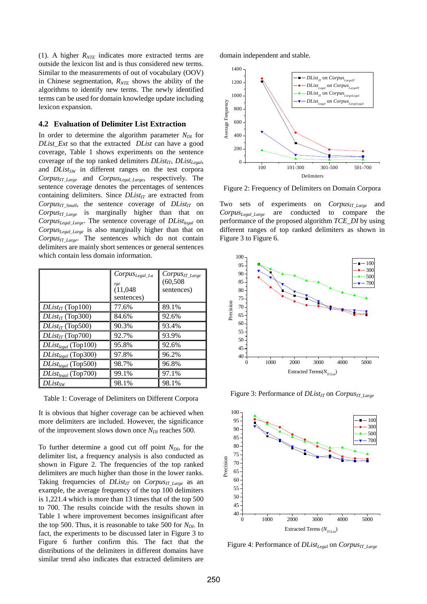(1). A higher  $R<sub>NTE</sub>$  indicates more extracted terms are outside the lexicon list and is thus considered new terms. Similar to the measurements of out of vocabulary (OOV) in Chinese segmentation,  $R<sub>NTE</sub>$  shows the ability of the algorithms to identify new terms. The newly identified terms can be used for domain knowledge update including lexicon expansion.

#### **4.2 Evaluation of Delimiter List Extraction**

In order to determine the algorithm parameter  $N_{DI}$  for *DList\_Ext* so that the extracted *DList* can have a good coverage, Table 1 shows experiments on the sentence coverage of the top ranked delimiters  $DList_{IT}$ ,  $DList_{I\neq gal}$ , and *DList<sub>SW</sub>* in different ranges on the test corpora *CorpusIT\_Large* and *CorpusLegal\_Large*, respectively. The sentence coverage denotes the percentages of sentences containing delimiters. Since  $DList_{IT}$  are extracted from  $Corpus_{IT\_Small}$ , the sentence coverage of  $DList_{IT}$  on *Corpus<sub>IT Large* is marginally higher than that on</sub> *CorpusLegal\_Large*. The sentence coverage of *DListlegal* on *CorpusLegal\_Large* is also marginally higher than that on *CorpusIT\_Large*. The sentences which do not contain delimiters are mainly short sentences or general sentences which contain less domain information.

|                          | $Corpus_{Legal\_La}$<br>rge<br>(11,048)<br>sentences) | $Corpus_{IT\_Large}$<br>(60, 508)<br>sentences) |
|--------------------------|-------------------------------------------------------|-------------------------------------------------|
| $DList_{IT}$ (Top100)    | 77.6%                                                 | 89.1%                                           |
| $DList_{IT}$ (Top300)    | 84.6%                                                 | 92.6%                                           |
| $DList_{IT}$ (Top500)    | 90.3%                                                 | 93.4%                                           |
| $DList_{IT}$ (Top700)    | 92.7%                                                 | 93.9%                                           |
| $DList_{legal}$ (Top100) | 95.8%                                                 | 92.6%                                           |
| $DList_{legal}$ (Top300) | 97.8%                                                 | 96.2%                                           |
| $DList_{legal}$ (Top500) | 98.7%                                                 | 96.8%                                           |
| $DList_{legal}$ (Top700) | 99.1%                                                 | 97.1%                                           |
| $DList_{SW}$             | 98.1%                                                 | 98.1%                                           |

Table 1: Coverage of Delimiters on Different Corpora

It is obvious that higher coverage can be achieved when more delimiters are included. However, the significance of the improvement slows down once  $N_{DI}$  reaches 500.

To further determine a good cut off point *N<sub>DI</sub>*, for the delimiter list, a frequency analysis is also conducted as shown in Figure 2. The frequencies of the top ranked delimiters are much higher than those in the lower ranks. Taking frequencies of *DList<sub>IT</sub>* on *Corpus<sub>IT Large* as an</sub> example, the average frequency of the top 100 delimiters is 1,221.4 which is more than 13 times that of the top 500 to 700. The results coincide with the results shown in Table 1 where improvement becomes insignificant after the top 500. Thus, it is reasonable to take 500 for  $N_{DI}$ . In fact, the experiments to be discussed later in Figure 3 to Figure 6 further confirm this. The fact that the distributions of the delimiters in different domains have similar trend also indicates that extracted delimiters are

domain independent and stable.



Figure 2: Frequency of Delimiters on Domain Corpora

Two sets of experiments on *Corpus<sub>IT Large* and</sub> *CorpusLegal\_Large* are conducted to compare the performance of the proposed algorithm *TCE\_DI* by using different ranges of top ranked delimiters as shown in Figure 3 to Figure 6.



Figure 3: Performance of *DList<sub>IT</sub>* on *Corpus<sub>IT</sub>* Large



Figure 4: Performance of *DList<sub>Legal</sub>* on *Corpus<sub>IT\_Large*</sub>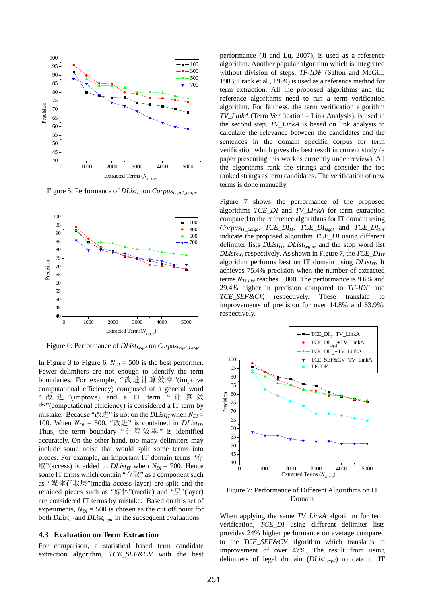

Figure 5: Performance of *DList<sub>IT</sub>* on *Corpus<sub>Legal\_Large*</sup></sub>



Figure 6: Performance of *DList<sub>Legal</sub>* on *Corpus<sub>Legal\_Large*</sup></sub>

In Figure 3 to Figure 6,  $N_{DI} = 500$  is the best performer. Fewer delimiters are not enough to identify the term boundaries. For example, "改进计算效率"(improve computational efficiency) composed of a general word " 改 进 "(improve) and a IT term " 计算效 率"(computational efficiency) is considered a IT term by mistake. Because "改进" is not on the  $DList_{IT}$  when  $N_{DI} =$ 100. When  $N_{DI} = 500$ , "改进" is contained in *DList<sub>IT</sub>*. Thus, the term boundary " 计算效率 " is identified accurately. On the other hand, too many delimiters may include some noise that would split some terms into pieces. For example, an important IT domain terms "存  $\mathbb{R}$ "(access) is added to *DList<sub>IT</sub>* when  $N_{DI} = 700$ . Hence some IT terms which contain "存取" as a component such as "媒体存取层"(media access layer) are split and the retained pieces such as "媒体"(media) and "层"(layer) are considered IT terms by mistake. Based on this set of experiments,  $N_{DI} = 500$  is chosen as the cut off point for both *DList<sub>IT</sub>* and *DList<sub>Legal</sub>* in the subsequent evaluations.

## **4.3 Evaluation on Term Extraction**

For comparison, a statistical based term candidate extraction algorithm, *TCE\_SEF&CV* with the best performance (Ji and Lu, 2007), is used as a reference algorithm. Another popular algorithm which is integrated without division of steps, *TF-IDF* (Salton and McGill, 1983; Frank et al., 1999) is used as a reference method for term extraction. All the proposed algorithms and the reference algorithms need to run a term verification algorithm. For fairness, the term verification algorithm *TV\_LinkA* (Term Verification – Link Analysis), is used in the second step. *TV\_LinkA* is based on link analysis to calculate the relevance between the candidates and the sentences in the domain specific corpus for term verification which gives the best result in current study (a paper presenting this work is currently under review). All the algorithms rank the strings and consider the top ranked strings as term candidates. The verification of new terms is done manually.

Figure 7 shows the performance of the proposed algorithms *TCE\_DI* and *TV\_LinkA* for term extraction compared to the reference algorithms for IT domain using  $Corpus_{IT\_Large}$ .  $TCE\_DI_{IT}$ ,  $TCE\_DI_{lead}$  and  $TCE\_DI_{SW}$ indicate the proposed algorithm *TCE\_DI* using different delimiter lists *DList<sub>IT</sub>*, *DList<sub>Legal*</sub>, and the stop word list *DList<sub>SW</sub>*, respectively. As shown in Figure 7, the  $TCE\_DI_{IT}$ algorithm performs best on IT domain using *DList<sub>IT</sub>*. It achieves 75.4% precision when the number of extracted terms  $N_{TCList}$  reaches 5,000. The performance is 9.6% and 29.4% higher in precision compared to *TF-IDF* and *TCE\_SEF&CV,* respectively. These translate to improvements of precision for over 14.8% and 63.9%, respectively.



Figure 7: Performance of Different Algorithms on IT Domain

When applying the same *TV\_LinkA* algorithm for term verification, *TCE\_DI* using different delimiter lists provides 24% higher performance on average compared to the *TCE\_SEF&CV* algorithm which translates to improvement of over 47%. The result from using delimiters of legal domain (*DListLegal*) to data in IT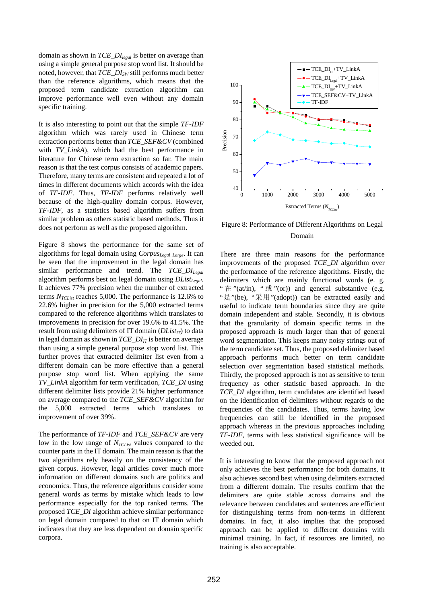domain as shown in *TCE\_DIlegal* is better on average than using a simple general purpose stop word list. It should be noted, however, that *TCE\_DISW* still performs much better than the reference algorithms, which means that the proposed term candidate extraction algorithm can improve performance well even without any domain specific training.

It is also interesting to point out that the simple *TF-IDF* algorithm which was rarely used in Chinese term extraction performs better than *TCE\_SEF&CV* (combined with *TV\_LinkA*)*,* which had the best performance in literature for Chinese term extraction so far. The main reason is that the test corpus consists of academic papers. Therefore, many terms are consistent and repeated a lot of times in different documents which accords with the idea of *TF-IDF*. Thus, *TF-IDF* performs relatively well because of the high-quality domain corpus. However, *TF-IDF*, as a statistics based algorithm suffers from similar problem as others statistic based methods. Thus it does not perform as well as the proposed algorithm.

Figure 8 shows the performance for the same set of algorithms for legal domain using *CorpusLegal\_Large*. It can be seen that the improvement in the legal domain has similar performance and trend. The *TCE\_DILegal* algorithm performs best on legal domain using *DList<sub>Legal</sub>*. It achieves 77% precision when the number of extracted terms  $N_{TCList}$  reaches 5,000. The performance is 12.6% to 22.6% higher in precision for the 5,000 extracted terms compared to the reference algorithms which translates to improvements in precision for over 19.6% to 41.5%. The result from using delimiters of IT domain (*DList<sub>IT</sub>*) to data in legal domain as shown in  $TCE\_DI_{IT}$  is better on average than using a simple general purpose stop word list. This further proves that extracted delimiter list even from a different domain can be more effective than a general purpose stop word list. When applying the same *TV\_LinkA* algorithm for term verification, *TCE\_DI* using different delimiter lists provide 21% higher performance on average compared to the *TCE\_SEF&CV* algorithm for the 5,000 extracted terms which translates to improvement of over 39%.

The performance of *TF-IDF* and *TCE\_SEF&CV* are very low in the low range of  $N_{TCList}$  values compared to the counter parts in the IT domain. The main reason is that the two algorithms rely heavily on the consistency of the given corpus. However, legal articles cover much more information on different domains such are politics and economics. Thus, the reference algorithms consider some general words as terms by mistake which leads to low performance especially for the top ranked terms. The proposed *TCE\_DI* algorithm achieve similar performance on legal domain compared to that on IT domain which indicates that they are less dependent on domain specific corpora.



Figure 8: Performance of Different Algorithms on Legal Domain

There are three main reasons for the performance improvements of the proposed *TCE\_DI* algorithm over the performance of the reference algorithms. Firstly, the delimiters which are mainly functional words (e. g. "  $\pm$  "(at/in), "  $\overrightarrow{\mathbb{E}}$  "(or)) and general substantive (e.g. "是"(be), "采用"(adopt)) can be extracted easily and useful to indicate term boundaries since they are quite domain independent and stable. Secondly, it is obvious that the granularity of domain specific terms in the proposed approach is much larger than that of general word segmentation. This keeps many noisy strings out of the term candidate set. Thus, the proposed delimiter based approach performs much better on term candidate selection over segmentation based statistical methods. Thirdly, the proposed approach is not as sensitive to term frequency as other statistic based approach. In the *TCE\_DI* algorithm, term candidates are identified based on the identification of delimiters without regards to the frequencies of the candidates. Thus, terms having low frequencies can still be identified in the proposed approach whereas in the previous approaches including *TF-IDF*, terms with less statistical significance will be weeded out.

It is interesting to know that the proposed approach not only achieves the best performance for both domains, it also achieves second best when using delimiters extracted from a different domain. The results confirm that the delimiters are quite stable across domains and the relevance between candidates and sentences are efficient for distinguishing terms from non-terms in different domains. In fact, it also implies that the proposed approach can be applied to different domains with minimal training. In fact, if resources are limited, no training is also acceptable.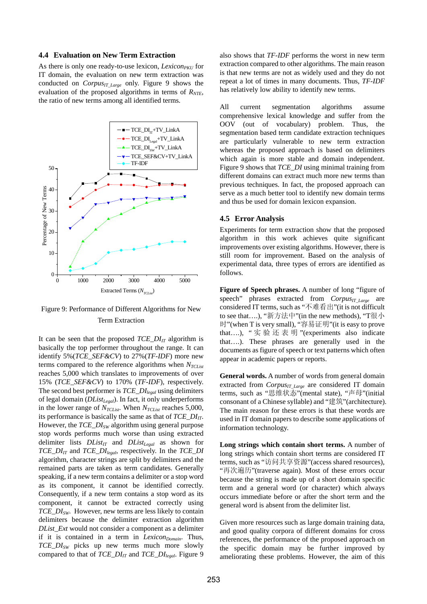## **4.4 Evaluation on New Term Extraction**

As there is only one ready-to-use lexicon, *Lexicon<sub>PKU</sub>* for IT domain*,* the evaluation on new term extraction was conducted on  $Corpus_{IT\ Large}$  only. Figure 9 shows the evaluation of the proposed algorithms in terms of  $R<sub>NTE</sub>$ , the ratio of new terms among all identified terms.





It can be seen that the proposed  $TCE\_DI_{IT}$  algorithm is basically the top performer throughout the range. It can identify 5%(*TCE\_SEF&CV*) to 27%(*TF-IDF*) more new terms compared to the reference algorithms when  $N_{TCList}$ reaches 5,000 which translates to improvements of over 15% (*TCE\_SEF&CV*) to 170% (*TF-IDF*), respectively. The second best performer is *TCE\_DIlegal* using delimiters of legal domain (*DList<sub>Legal</sub>*). In fact, it only underperforms in the lower range of  $N_{TCList}$ . When  $N_{TCList}$  reaches 5,000, its performance is basically the same as that of *TCE\_DI<sub>IT</sub>*. However, the *TCE\_DI<sub>SW</sub>* algorithm using general purpose stop words performs much worse than using extracted delimiter lists  $DList_{IT}$  and  $DList_{Legal}$  as shown for *TCE\_DIIT* and *TCE\_DIlegal*, respectively. In the *TCE\_DI* algorithm, character strings are split by delimiters and the remained parts are taken as term candidates. Generally speaking, if a new term contains a delimiter or a stop word as its component, it cannot be identified correctly. Consequently, if a new term contains a stop word as its component, it cannot be extracted correctly using *TCE\_DI<sub>SW</sub>*. However, new terms are less likely to contain delimiters because the delimiter extraction algorithm *DList\_Ext* would not consider a component as a delimiter if it is contained in a term in *Lexicon*<sub>Domain</sub>. Thus, *TCE\_DISW* picks up new terms much more slowly compared to that of  $TCE\_DI_{IT}$  and  $TCE\_DI_{legal}$ . Figure 9

also shows that *TF-IDF* performs the worst in new term extraction compared to other algorithms. The main reason is that new terms are not as widely used and they do not repeat a lot of times in many documents. Thus, *TF-IDF* has relatively low ability to identify new terms.

All current segmentation algorithms assume comprehensive lexical knowledge and suffer from the OOV (out of vocabulary) problem. Thus, the segmentation based term candidate extraction techniques are particularly vulnerable to new term extraction whereas the proposed approach is based on delimiters which again is more stable and domain independent. Figure 9 shows that *TCE\_DI* using minimal training from different domains can extract much more new terms than previous techniques. In fact, the proposed approach can serve as a much better tool to identify new domain terms and thus be used for domain lexicon expansion.

#### **4.5 Error Analysis**

Experiments for term extraction show that the proposed algorithm in this work achieves quite significant improvements over existing algorithms. However, there is still room for improvement. Based on the analysis of experimental data, three types of errors are identified as follows.

**Figure of Speech phrases.** A number of long "figure of speech" phrases extracted from *Corpus<sub>IT Large* are</sub> considered IT terms, such as "不难看出"(it is not difficult to see that….), "新方法中"(in the new methods), "T很小 时"(when T is very small), "容易证明"(it is easy to prove that....), "实验还表明"(experiments also indicate that….). These phrases are generally used in the documents as figure of speech or text patterns which often appear in academic papers or reports.

**General words.** A number of words from general domain extracted from *Corpus<sub>IT\_Large*</sub> are considered IT domain terms, such as "思维状态"(mental state), "声母"(initial consonant of a Chinese syllable) and "建筑"(architecture). The main reason for these errors is that these words are used in IT domain papers to describe some applications of information technology.

**Long strings which contain short terms.** A number of long strings which contain short terms are considered IT terms, such as "访问共享资源"(access shared resources), "再次遍历"(traverse again). Most of these errors occur because the string is made up of a short domain specific term and a general word (or character) which always occurs immediate before or after the short term and the general word is absent from the delimiter list.

Given more resources such as large domain training data, and good quality corpora of different domains for cross references, the performance of the proposed approach on the specific domain may be further improved by ameliorating these problems. However, the aim of this